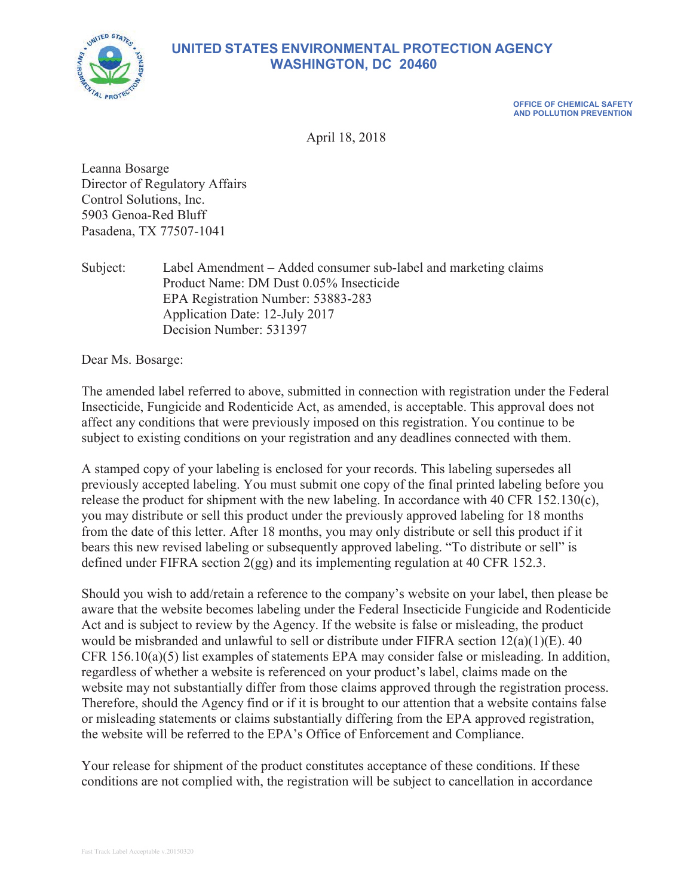

# **UNITED STATES ENVIRONMENTAL PROTECTION AGENCY WASHINGTON, DC 20460**

**OFFICE OF CHEMICAL SAFETY AND POLLUTION PREVENTION**

April 18, 2018

Leanna Bosarge Director of Regulatory Affairs Control Solutions, Inc. 5903 Genoa-Red Bluff Pasadena, TX 77507-1041

Subject: Label Amendment – Added consumer sub-label and marketing claims Product Name: DM Dust 0.05% Insecticide EPA Registration Number: 53883-283 Application Date: 12-July 2017 Decision Number: 531397

Dear Ms. Bosarge:

The amended label referred to above, submitted in connection with registration under the Federal Insecticide, Fungicide and Rodenticide Act, as amended, is acceptable. This approval does not affect any conditions that were previously imposed on this registration. You continue to be subject to existing conditions on your registration and any deadlines connected with them.

A stamped copy of your labeling is enclosed for your records. This labeling supersedes all previously accepted labeling. You must submit one copy of the final printed labeling before you release the product for shipment with the new labeling. In accordance with 40 CFR 152.130 $(c)$ , you may distribute or sell this product under the previously approved labeling for 18 months from the date of this letter. After 18 months, you may only distribute or sell this product if it bears this new revised labeling or subsequently approved labeling. "To distribute or sell" is defined under FIFRA section 2(gg) and its implementing regulation at 40 CFR 152.3.

Should you wish to add/retain a reference to the company's website on your label, then please be aware that the website becomes labeling under the Federal Insecticide Fungicide and Rodenticide Act and is subject to review by the Agency. If the website is false or misleading, the product would be misbranded and unlawful to sell or distribute under FIFRA section 12(a)(1)(E). 40 CFR  $156.10(a)(5)$  list examples of statements EPA may consider false or misleading. In addition, regardless of whether a website is referenced on your product's label, claims made on the website may not substantially differ from those claims approved through the registration process. Therefore, should the Agency find or if it is brought to our attention that a website contains false or misleading statements or claims substantially differing from the EPA approved registration, the website will be referred to the EPA's Office of Enforcement and Compliance.

Your release for shipment of the product constitutes acceptance of these conditions. If these conditions are not complied with, the registration will be subject to cancellation in accordance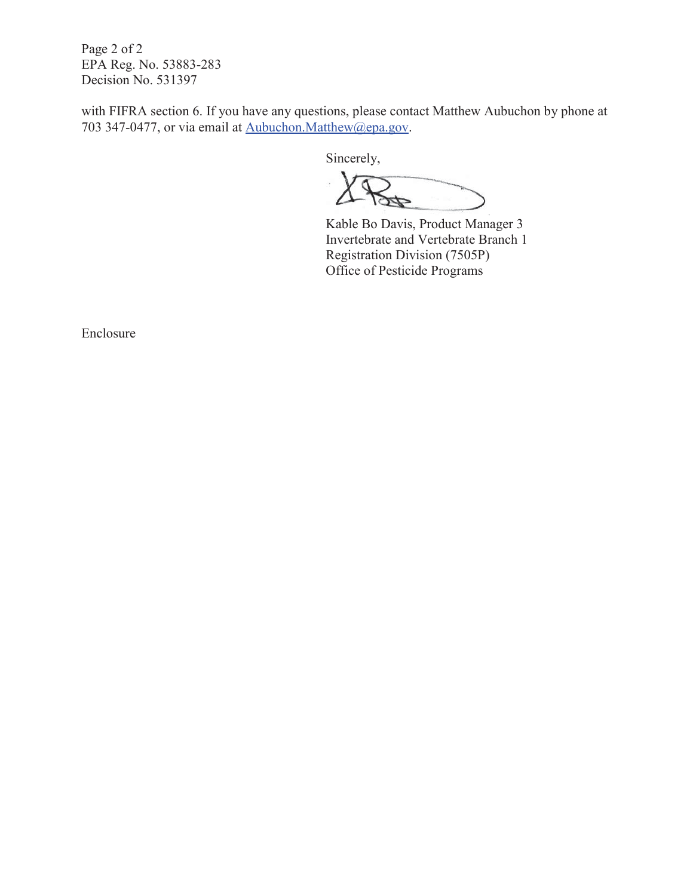Page 2 of 2 EPA Reg. No. 53883-283 Decision No. 531397

with FIFRA section 6. If you have any questions, please contact Matthew Aubuchon by phone at 703 347-0477, or via email at Aubuchon.Matthew@epa.gov.

Sincerely,

Kable Bo Davis, Product Manager 3 Invertebrate and Vertebrate Branch 1 Registration Division (7505P) Office of Pesticide Programs

Enclosure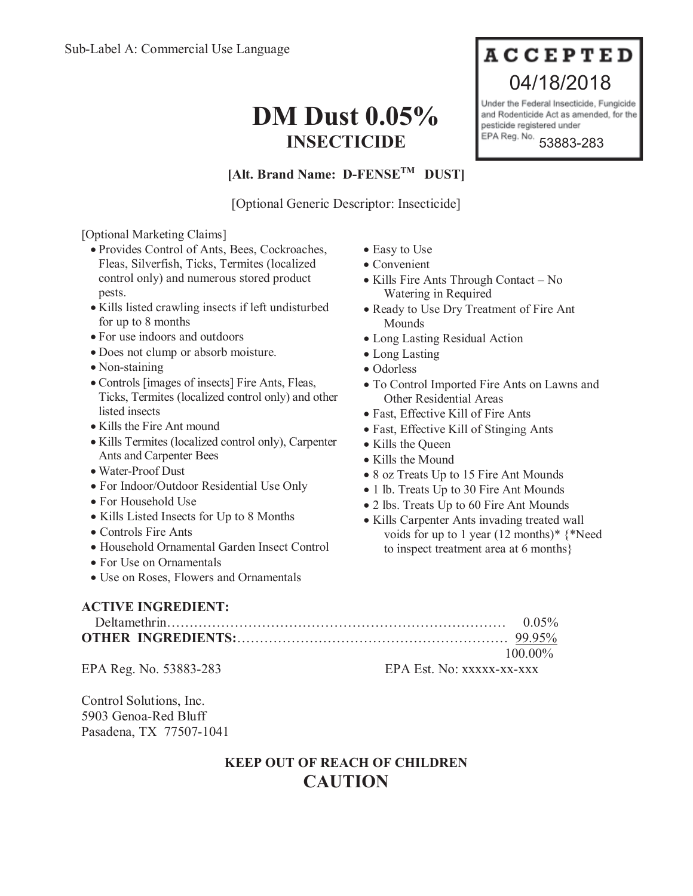# **DM Dust 0.05% INSECTICIDE**

# **ACCEPTED** 04/18/2018

Under the Federal Insecticide, Fungicide and Rodenticide Act as amended, for the pesticide registered under EPA Reg. No.

53883-283

## **[Alt. Brand Name: D-FENSETM DUST]**

[Optional Generic Descriptor: Insecticide]

[Optional Marketing Claims]

- x Provides Control of Ants, Bees, Cockroaches, Fleas, Silverfish, Ticks, Termites (localized control only) and numerous stored product pests.
- Kills listed crawling insects if left undisturbed for up to 8 months
- For use indoors and outdoors
- Does not clump or absorb moisture.
- Non-staining
- Controls [images of insects] Fire Ants, Fleas, Ticks, Termites (localized control only) and other listed insects
- Kills the Fire Ant mound
- Kills Termites (localized control only), Carpenter Ants and Carpenter Bees
- Water-Proof Dust
- x For Indoor/Outdoor Residential Use Only
- For Household Use
- Kills Listed Insects for Up to 8 Months
- Controls Fire Ants
- Household Ornamental Garden Insect Control
- For Use on Ornamentals
- Use on Roses, Flowers and Ornamentals
- Easy to Use
- $\bullet$  Convenient
- $\bullet$  Kills Fire Ants Through Contact No Watering in Required
- Ready to Use Dry Treatment of Fire Ant Mounds
- Long Lasting Residual Action
- Long Lasting
- Odorless
- To Control Imported Fire Ants on Lawns and Other Residential Areas
- Fast, Effective Kill of Fire Ants
- Fast, Effective Kill of Stinging Ants
- Kills the Queen
- $\bullet$  Kills the Mound
- 8 oz Treats Up to 15 Fire Ant Mounds
- 1 lb. Treats Up to 30 Fire Ant Mounds
- 2 lbs. Treats Up to 60 Fire Ant Mounds
- Kills Carpenter Ants invading treated wall voids for up to 1 year (12 months)\* {\*Need to inspect treatment area at 6 months}

## **ACTIVE INGREDIENT:**

| $100.00\%$ |
|------------|

EPA Reg. No. 53883-283 EPA Est. No: xxxxx-xx-xxx

Control Solutions, Inc. 5903 Genoa-Red Bluff Pasadena, TX 77507-1041

# **KEEP OUT OF REACH OF CHILDREN CAUTION**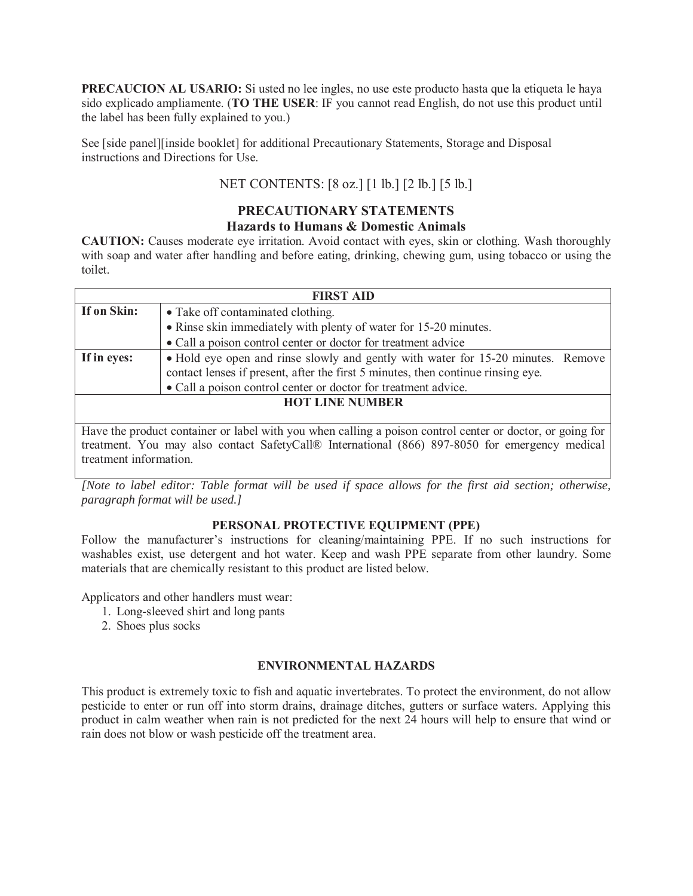**PRECAUCION AL USARIO:** Si usted no lee ingles, no use este producto hasta que la etiqueta le haya sido explicado ampliamente. (**TO THE USER**: IF you cannot read English, do not use this product until the label has been fully explained to you.)

See [side panel][inside booklet] for additional Precautionary Statements, Storage and Disposal instructions and Directions for Use.

## NET CONTENTS: [8 oz.] [1 lb.] [2 lb.] [5 lb.]

# **PRECAUTIONARY STATEMENTS**

### **Hazards to Humans & Domestic Animals**

**CAUTION:** Causes moderate eye irritation. Avoid contact with eyes, skin or clothing. Wash thoroughly with soap and water after handling and before eating, drinking, chewing gum, using tobacco or using the toilet.

| <b>FIRST AID</b>                                                                                          |                                                                                                                                                                      |  |  |  |
|-----------------------------------------------------------------------------------------------------------|----------------------------------------------------------------------------------------------------------------------------------------------------------------------|--|--|--|
| If on Skin:                                                                                               | • Take off contaminated clothing.                                                                                                                                    |  |  |  |
|                                                                                                           | • Rinse skin immediately with plenty of water for 15-20 minutes.                                                                                                     |  |  |  |
|                                                                                                           | • Call a poison control center or doctor for treatment advice                                                                                                        |  |  |  |
| If in eyes:                                                                                               | • Hold eye open and rinse slowly and gently with water for 15-20 minutes. Remove<br>contact lenses if present, after the first 5 minutes, then continue rinsing eye. |  |  |  |
|                                                                                                           | • Call a poison control center or doctor for treatment advice.                                                                                                       |  |  |  |
| <b>HOT LINE NUMBER</b>                                                                                    |                                                                                                                                                                      |  |  |  |
|                                                                                                           |                                                                                                                                                                      |  |  |  |
| Have the product container or label with you when calling a poison control center or doctor, or going for |                                                                                                                                                                      |  |  |  |
|                                                                                                           | treatment. You may also contact SafetyCall® International (866) 897-8050 for emergency medical                                                                       |  |  |  |

treatment. You may also contact SafetyCall® International (866) 897-8050 for emergency medical treatment information.

*[Note to label editor: Table format will be used if space allows for the first aid section; otherwise, paragraph format will be used.]*

#### **PERSONAL PROTECTIVE EQUIPMENT (PPE)**

Follow the manufacturer's instructions for cleaning/maintaining PPE. If no such instructions for washables exist, use detergent and hot water. Keep and wash PPE separate from other laundry. Some materials that are chemically resistant to this product are listed below.

Applicators and other handlers must wear:

- 1. Long-sleeved shirt and long pants
- 2. Shoes plus socks

#### **ENVIRONMENTAL HAZARDS**

This product is extremely toxic to fish and aquatic invertebrates. To protect the environment, do not allow pesticide to enter or run off into storm drains, drainage ditches, gutters or surface waters. Applying this product in calm weather when rain is not predicted for the next 24 hours will help to ensure that wind or rain does not blow or wash pesticide off the treatment area.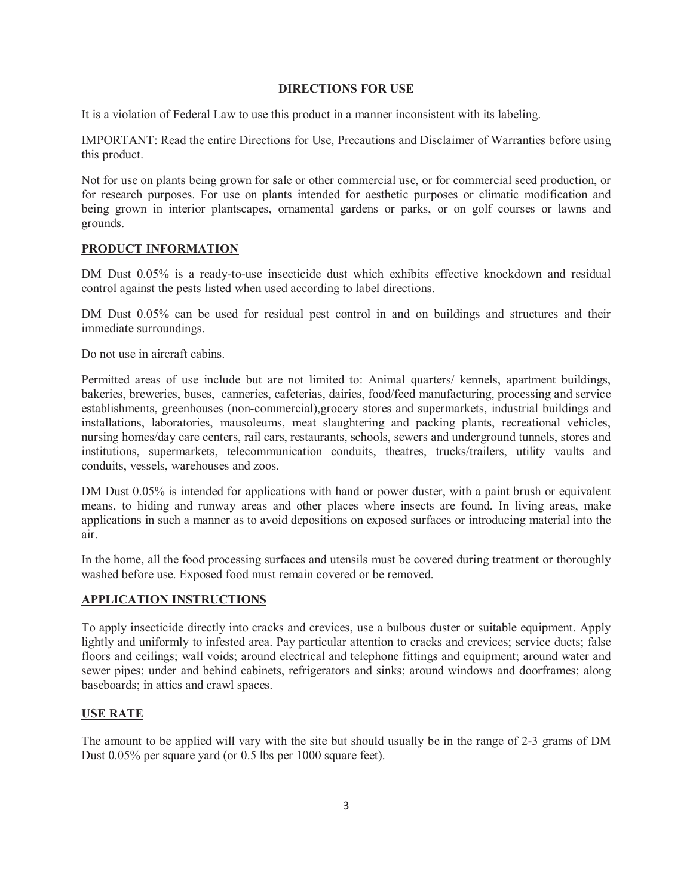#### **DIRECTIONS FOR USE**

It is a violation of Federal Law to use this product in a manner inconsistent with its labeling.

IMPORTANT: Read the entire Directions for Use, Precautions and Disclaimer of Warranties before using this product.

Not for use on plants being grown for sale or other commercial use, or for commercial seed production, or for research purposes. For use on plants intended for aesthetic purposes or climatic modification and being grown in interior plantscapes, ornamental gardens or parks, or on golf courses or lawns and grounds.

#### **PRODUCT INFORMATION**

DM Dust 0.05% is a ready-to-use insecticide dust which exhibits effective knockdown and residual control against the pests listed when used according to label directions.

DM Dust 0.05% can be used for residual pest control in and on buildings and structures and their immediate surroundings.

Do not use in aircraft cabins.

Permitted areas of use include but are not limited to: Animal quarters/ kennels, apartment buildings, bakeries, breweries, buses, canneries, cafeterias, dairies, food/feed manufacturing, processing and service establishments, greenhouses (non-commercial),grocery stores and supermarkets, industrial buildings and installations, laboratories, mausoleums, meat slaughtering and packing plants, recreational vehicles, nursing homes/day care centers, rail cars, restaurants, schools, sewers and underground tunnels, stores and institutions, supermarkets, telecommunication conduits, theatres, trucks/trailers, utility vaults and conduits, vessels, warehouses and zoos.

DM Dust 0.05% is intended for applications with hand or power duster, with a paint brush or equivalent means, to hiding and runway areas and other places where insects are found. In living areas, make applications in such a manner as to avoid depositions on exposed surfaces or introducing material into the air.

In the home, all the food processing surfaces and utensils must be covered during treatment or thoroughly washed before use. Exposed food must remain covered or be removed.

#### **APPLICATION INSTRUCTIONS**

To apply insecticide directly into cracks and crevices, use a bulbous duster or suitable equipment. Apply lightly and uniformly to infested area. Pay particular attention to cracks and crevices; service ducts; false floors and ceilings; wall voids; around electrical and telephone fittings and equipment; around water and sewer pipes; under and behind cabinets, refrigerators and sinks; around windows and doorframes; along baseboards; in attics and crawl spaces.

#### **USE RATE**

The amount to be applied will vary with the site but should usually be in the range of 2-3 grams of DM Dust 0.05% per square yard (or 0.5 lbs per 1000 square feet).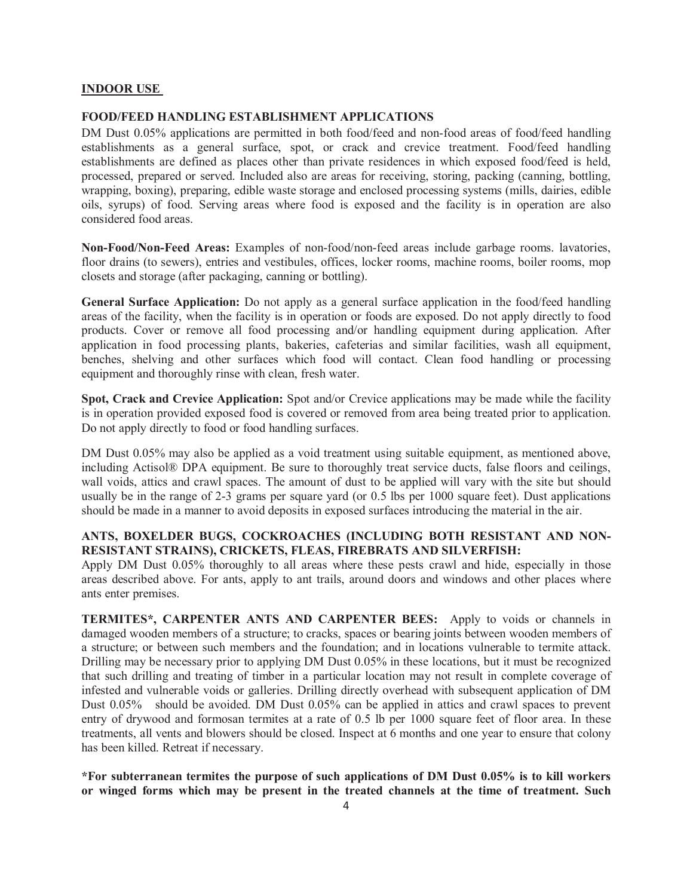#### **INDOOR USE**

#### **FOOD/FEED HANDLING ESTABLISHMENT APPLICATIONS**

DM Dust 0.05% applications are permitted in both food/feed and non-food areas of food/feed handling establishments as a general surface, spot, or crack and crevice treatment. Food/feed handling establishments are defined as places other than private residences in which exposed food/feed is held, processed, prepared or served. Included also are areas for receiving, storing, packing (canning, bottling, wrapping, boxing), preparing, edible waste storage and enclosed processing systems (mills, dairies, edible oils, syrups) of food. Serving areas where food is exposed and the facility is in operation are also considered food areas.

**Non-Food/Non-Feed Areas:** Examples of non-food/non-feed areas include garbage rooms. lavatories, floor drains (to sewers), entries and vestibules, offices, locker rooms, machine rooms, boiler rooms, mop closets and storage (after packaging, canning or bottling).

**General Surface Application:** Do not apply as a general surface application in the food/feed handling areas of the facility, when the facility is in operation or foods are exposed. Do not apply directly to food products. Cover or remove all food processing and/or handling equipment during application. After application in food processing plants, bakeries, cafeterias and similar facilities, wash all equipment, benches, shelving and other surfaces which food will contact. Clean food handling or processing equipment and thoroughly rinse with clean, fresh water.

**Spot, Crack and Crevice Application:** Spot and/or Crevice applications may be made while the facility is in operation provided exposed food is covered or removed from area being treated prior to application. Do not apply directly to food or food handling surfaces.

DM Dust 0.05% may also be applied as a void treatment using suitable equipment, as mentioned above, including Actisol® DPA equipment. Be sure to thoroughly treat service ducts, false floors and ceilings, wall voids, attics and crawl spaces. The amount of dust to be applied will vary with the site but should usually be in the range of 2-3 grams per square yard (or 0.5 lbs per 1000 square feet). Dust applications should be made in a manner to avoid deposits in exposed surfaces introducing the material in the air.

#### **ANTS, BOXELDER BUGS, COCKROACHES (INCLUDING BOTH RESISTANT AND NON-RESISTANT STRAINS), CRICKETS, FLEAS, FIREBRATS AND SILVERFISH:**

Apply DM Dust 0.05% thoroughly to all areas where these pests crawl and hide, especially in those areas described above. For ants, apply to ant trails, around doors and windows and other places where ants enter premises.

**TERMITES\*, CARPENTER ANTS AND CARPENTER BEES:** Apply to voids or channels in damaged wooden members of a structure; to cracks, spaces or bearing joints between wooden members of a structure; or between such members and the foundation; and in locations vulnerable to termite attack. Drilling may be necessary prior to applying DM Dust 0.05% in these locations, but it must be recognized that such drilling and treating of timber in a particular location may not result in complete coverage of infested and vulnerable voids or galleries. Drilling directly overhead with subsequent application of DM Dust 0.05% should be avoided. DM Dust 0.05% can be applied in attics and crawl spaces to prevent entry of drywood and formosan termites at a rate of 0.5 lb per 1000 square feet of floor area. In these treatments, all vents and blowers should be closed. Inspect at 6 months and one year to ensure that colony has been killed. Retreat if necessary.

**\*For subterranean termites the purpose of such applications of DM Dust 0.05% is to kill workers or winged forms which may be present in the treated channels at the time of treatment. Such**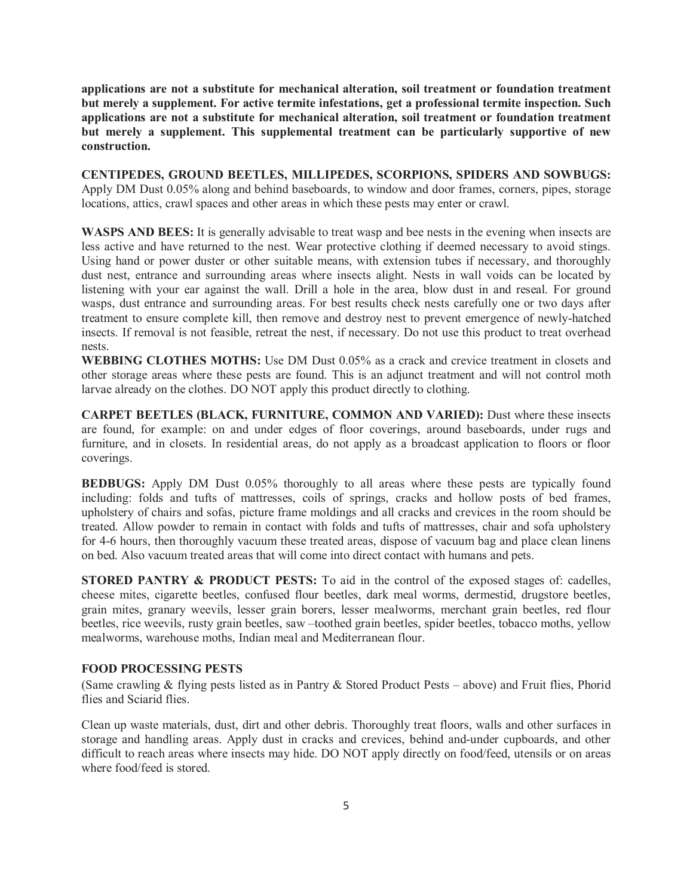**applications are not a substitute for mechanical alteration, soil treatment or foundation treatment but merely a supplement. For active termite infestations, get a professional termite inspection. Such applications are not a substitute for mechanical alteration, soil treatment or foundation treatment but merely a supplement. This supplemental treatment can be particularly supportive of new construction.**

**CENTIPEDES, GROUND BEETLES, MILLIPEDES, SCORPIONS, SPIDERS AND SOWBUGS:**  Apply DM Dust 0.05% along and behind baseboards, to window and door frames, corners, pipes, storage locations, attics, crawl spaces and other areas in which these pests may enter or crawl.

**WASPS AND BEES:** It is generally advisable to treat wasp and bee nests in the evening when insects are less active and have returned to the nest. Wear protective clothing if deemed necessary to avoid stings. Using hand or power duster or other suitable means, with extension tubes if necessary, and thoroughly dust nest, entrance and surrounding areas where insects alight. Nests in wall voids can be located by listening with your ear against the wall. Drill a hole in the area, blow dust in and reseal. For ground wasps, dust entrance and surrounding areas. For best results check nests carefully one or two days after treatment to ensure complete kill, then remove and destroy nest to prevent emergence of newly-hatched insects. If removal is not feasible, retreat the nest, if necessary. Do not use this product to treat overhead nests.

**WEBBING CLOTHES MOTHS:** Use DM Dust 0.05% as a crack and crevice treatment in closets and other storage areas where these pests are found. This is an adjunct treatment and will not control moth larvae already on the clothes. DO NOT apply this product directly to clothing.

**CARPET BEETLES (BLACK, FURNITURE, COMMON AND VARIED):** Dust where these insects are found, for example: on and under edges of floor coverings, around baseboards, under rugs and furniture, and in closets. In residential areas, do not apply as a broadcast application to floors or floor coverings.

**BEDBUGS:** Apply DM Dust 0.05% thoroughly to all areas where these pests are typically found including: folds and tufts of mattresses, coils of springs, cracks and hollow posts of bed frames, upholstery of chairs and sofas, picture frame moldings and all cracks and crevices in the room should be treated. Allow powder to remain in contact with folds and tufts of mattresses, chair and sofa upholstery for 4-6 hours, then thoroughly vacuum these treated areas, dispose of vacuum bag and place clean linens on bed. Also vacuum treated areas that will come into direct contact with humans and pets.

**STORED PANTRY & PRODUCT PESTS:** To aid in the control of the exposed stages of: cadelles, cheese mites, cigarette beetles, confused flour beetles, dark meal worms, dermestid, drugstore beetles, grain mites, granary weevils, lesser grain borers, lesser mealworms, merchant grain beetles, red flour beetles, rice weevils, rusty grain beetles, saw –toothed grain beetles, spider beetles, tobacco moths, yellow mealworms, warehouse moths, Indian meal and Mediterranean flour.

#### **FOOD PROCESSING PESTS**

(Same crawling & flying pests listed as in Pantry & Stored Product Pests – above) and Fruit flies, Phorid flies and Sciarid flies.

Clean up waste materials, dust, dirt and other debris. Thoroughly treat floors, walls and other surfaces in storage and handling areas. Apply dust in cracks and crevices, behind and-under cupboards, and other difficult to reach areas where insects may hide. DO NOT apply directly on food/feed, utensils or on areas where food/feed is stored.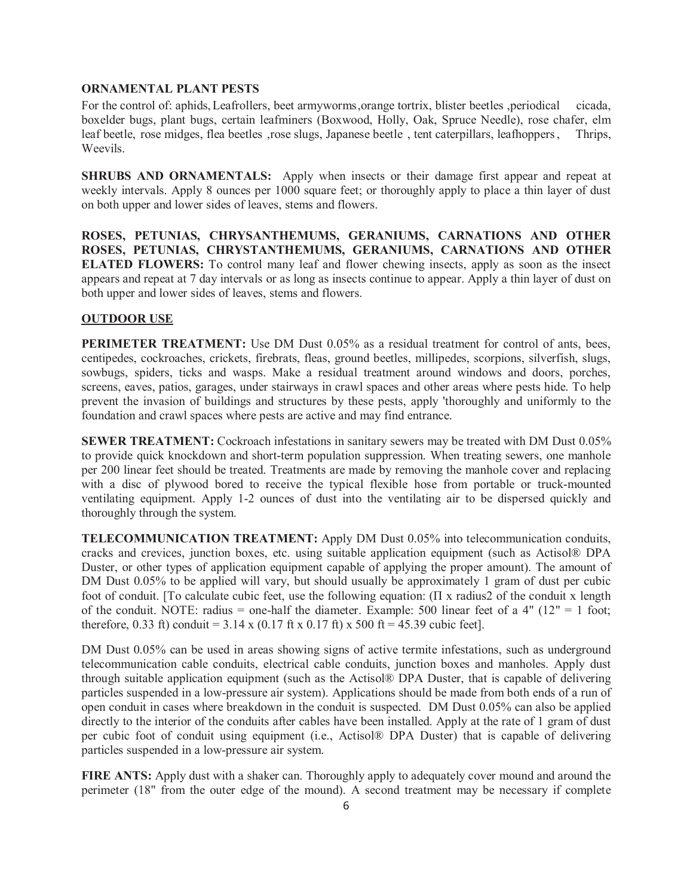#### **ORNAMENTAL PLANT PESTS**

For the control of: aphids, Leafrollers, beet armyworms, orange tortrix, blister beetles , periodical cicada, boxelder bugs, plant bugs, certain leafminers (Boxwood, Holly, Oak, Spruce Needle), rose chafer, elm leaf beetle, rose midges, flea beetles ,rose slugs, Japanese beetle , tent caterpillars, leafhoppers , Thrips, Weevils.

**SHRUBS AND ORNAMENTALS:** Apply when insects or their damage first appear and repeat at weekly intervals. Apply 8 ounces per 1000 square feet; or thoroughly apply to place a thin layer of dust on both upper and lower sides of leaves, stems and flowers.

**ROSES, PETUNIAS, CHRYSANTHEMUMS, GERANIUMS, CARNATIONS AND OTHER ROSES, PETUNIAS, CHRYSTANTHEMUMS, GERANIUMS, CARNATIONS AND OTHER ELATED FLOWERS:** To control many leaf and flower chewing insects, apply as soon as the insect appears and repeat at 7 day intervals or as long as insects continue to appear. Apply a thin layer of dust on both upper and lower sides of leaves, stems and flowers.

#### **OUTDOOR USE**

**PERIMETER TREATMENT:** Use DM Dust 0.05% as a residual treatment for control of ants, bees, centipedes, cockroaches, crickets, firebrats, fleas, ground beetles, millipedes, scorpions, silverfish, slugs, sowbugs, spiders, ticks and wasps. Make a residual treatment around windows and doors, porches, screens, eaves, patios, garages, under stairways in crawl spaces and other areas where pests hide. To help prevent the invasion of buildings and structures by these pests, apply 'thoroughly and uniformly to the foundation and crawl spaces where pests are active and may find entrance.

**SEWER TREATMENT:** Cockroach infestations in sanitary sewers may be treated with DM Dust 0.05% to provide quick knockdown and short-term population suppression. When treating sewers, one manhole per 200 linear feet should be treated. Treatments are made by removing the manhole cover and replacing with a disc of plywood bored to receive the typical flexible hose from portable or truck-mounted ventilating equipment. Apply 1-2 ounces of dust into the ventilating air to be dispersed quickly and thoroughly through the system.

**TELECOMMUNICATION TREATMENT:** Apply DM Dust 0.05% into telecommunication conduits, cracks and crevices, junction boxes, etc. using suitable application equipment (such as Actisol® DPA Duster, or other types of application equipment capable of applying the proper amount). The amount of DM Dust 0.05% to be applied will vary, but should usually be approximately 1 gram of dust per cubic foot of conduit. [To calculate cubic feet, use the following equation:  $(\Pi x \text{ radius2 of the conduit } x \text{ length})$ of the conduit. NOTE: radius = one-half the diameter. Example: 500 linear feet of a 4" ( $12" = 1$  foot; therefore, 0.33 ft) conduit =  $3.14 \times (0.17 \text{ ft} \times 0.17 \text{ ft}) \times 500 \text{ ft} = 45.39 \text{ cubic feet}$ .

DM Dust 0.05% can be used in areas showing signs of active termite infestations, such as underground telecommunication cable conduits, electrical cable conduits, junction boxes and manholes. Apply dust through suitable application equipment (such as the Actisol® DPA Duster, that is capable of delivering particles suspended in a low-pressure air system). Applications should be made from both ends of a run of open conduit in cases where breakdown in the conduit is suspected. DM Dust 0.05% can also be applied directly to the interior of the conduits after cables have been installed. Apply at the rate of 1 gram of dust per cubic foot of conduit using equipment (i.e., Actisol® DPA Duster) that is capable of delivering particles suspended in a low-pressure air system.

**FIRE ANTS:** Apply dust with a shaker can. Thoroughly apply to adequately cover mound and around the perimeter (18" from the outer edge of the mound). A second treatment may be necessary if complete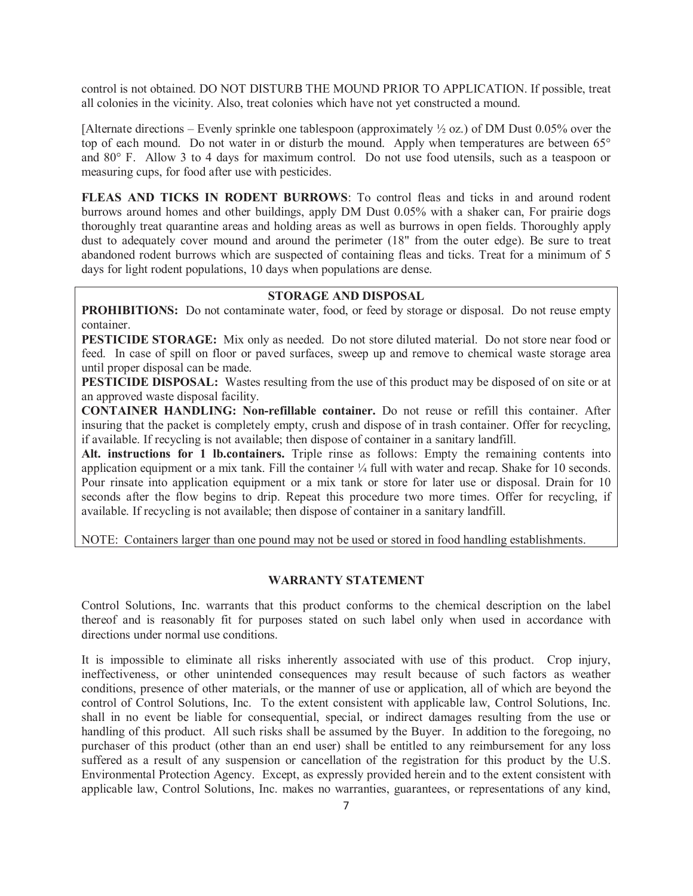control is not obtained. DO NOT DISTURB THE MOUND PRIOR TO APPLICATION. If possible, treat all colonies in the vicinity. Also, treat colonies which have not yet constructed a mound.

[Alternate directions – Evenly sprinkle one tablespoon (approximately  $\frac{1}{2}$  oz.) of DM Dust 0.05% over the top of each mound. Do not water in or disturb the mound. Apply when temperatures are between 65° and 80° F. Allow 3 to 4 days for maximum control. Do not use food utensils, such as a teaspoon or measuring cups, for food after use with pesticides.

**FLEAS AND TICKS IN RODENT BURROWS**: To control fleas and ticks in and around rodent burrows around homes and other buildings, apply DM Dust 0.05% with a shaker can, For prairie dogs thoroughly treat quarantine areas and holding areas as well as burrows in open fields. Thoroughly apply dust to adequately cover mound and around the perimeter (18" from the outer edge). Be sure to treat abandoned rodent burrows which are suspected of containing fleas and ticks. Treat for a minimum of 5 days for light rodent populations, 10 days when populations are dense.

#### **STORAGE AND DISPOSAL**

**PROHIBITIONS:** Do not contaminate water, food, or feed by storage or disposal. Do not reuse empty container.

**PESTICIDE STORAGE:** Mix only as needed. Do not store diluted material. Do not store near food or feed. In case of spill on floor or paved surfaces, sweep up and remove to chemical waste storage area until proper disposal can be made.

**PESTICIDE DISPOSAL:** Wastes resulting from the use of this product may be disposed of on site or at an approved waste disposal facility.

**CONTAINER HANDLING: Non-refillable container.** Do not reuse or refill this container. After insuring that the packet is completely empty, crush and dispose of in trash container. Offer for recycling, if available. If recycling is not available; then dispose of container in a sanitary landfill.

**Alt. instructions for 1 lb.containers.** Triple rinse as follows: Empty the remaining contents into application equipment or a mix tank. Fill the container ¼ full with water and recap. Shake for 10 seconds. Pour rinsate into application equipment or a mix tank or store for later use or disposal. Drain for 10 seconds after the flow begins to drip. Repeat this procedure two more times. Offer for recycling, if available. If recycling is not available; then dispose of container in a sanitary landfill.

NOTE: Containers larger than one pound may not be used or stored in food handling establishments.

#### **WARRANTY STATEMENT**

Control Solutions, Inc. warrants that this product conforms to the chemical description on the label thereof and is reasonably fit for purposes stated on such label only when used in accordance with directions under normal use conditions.

It is impossible to eliminate all risks inherently associated with use of this product. Crop injury, ineffectiveness, or other unintended consequences may result because of such factors as weather conditions, presence of other materials, or the manner of use or application, all of which are beyond the control of Control Solutions, Inc. To the extent consistent with applicable law, Control Solutions, Inc. shall in no event be liable for consequential, special, or indirect damages resulting from the use or handling of this product. All such risks shall be assumed by the Buyer. In addition to the foregoing, no purchaser of this product (other than an end user) shall be entitled to any reimbursement for any loss suffered as a result of any suspension or cancellation of the registration for this product by the U.S. Environmental Protection Agency. Except, as expressly provided herein and to the extent consistent with applicable law, Control Solutions, Inc. makes no warranties, guarantees, or representations of any kind,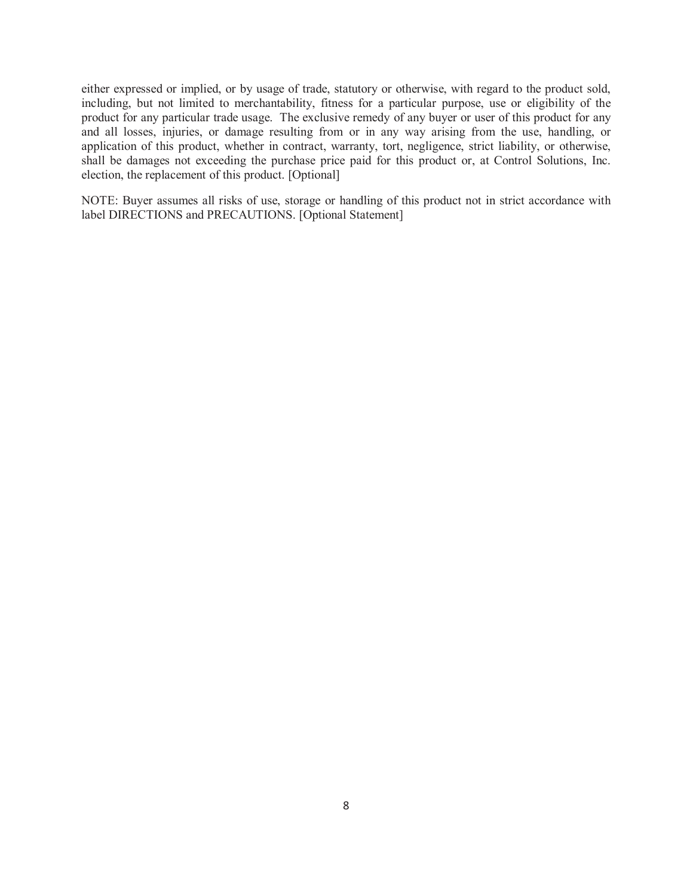either expressed or implied, or by usage of trade, statutory or otherwise, with regard to the product sold, including, but not limited to merchantability, fitness for a particular purpose, use or eligibility of the product for any particular trade usage. The exclusive remedy of any buyer or user of this product for any and all losses, injuries, or damage resulting from or in any way arising from the use, handling, or application of this product, whether in contract, warranty, tort, negligence, strict liability, or otherwise, shall be damages not exceeding the purchase price paid for this product or, at Control Solutions, Inc. election, the replacement of this product. [Optional]

NOTE: Buyer assumes all risks of use, storage or handling of this product not in strict accordance with label DIRECTIONS and PRECAUTIONS. [Optional Statement]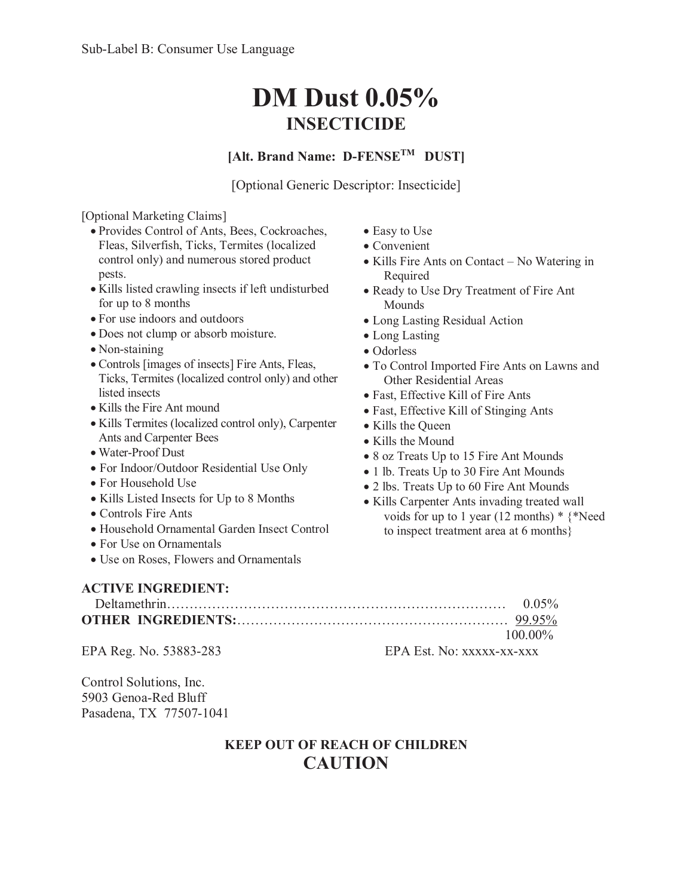# **DM Dust 0.05% INSECTICIDE**

# **[Alt. Brand Name: D-FENSETM DUST]**

[Optional Generic Descriptor: Insecticide]

• Easy to Use  $\bullet$  Convenient

Required

Mounds

• Long Lasting • Odorless

• Kills the Queen • Kills the Mound

• Kills Fire Ants on Contact – No Watering in

• To Control Imported Fire Ants on Lawns and

• Ready to Use Dry Treatment of Fire Ant

• Long Lasting Residual Action

Other Residential Areas • Fast, Effective Kill of Fire Ants • Fast, Effective Kill of Stinging Ants

• 8 oz Treats Up to 15 Fire Ant Mounds • 1 lb. Treats Up to 30 Fire Ant Mounds • 2 lbs. Treats Up to 60 Fire Ant Mounds • Kills Carpenter Ants invading treated wall

voids for up to 1 year (12 months) \* {\*Need

to inspect treatment area at 6 months}

### [Optional Marketing Claims]

- x Provides Control of Ants, Bees, Cockroaches, Fleas, Silverfish, Ticks, Termites (localized control only) and numerous stored product pests.
- Kills listed crawling insects if left undisturbed for up to 8 months
- x For use indoors and outdoors
- x Does not clump or absorb moisture.
- $\bullet$  Non-staining
- Controls [images of insects] Fire Ants, Fleas, Ticks, Termites (localized control only) and other listed insects
- Kills the Fire Ant mound
- x Kills Termites (localized control only), Carpenter Ants and Carpenter Bees
- Water-Proof Dust
- For Indoor/Outdoor Residential Use Only
- For Household Use
- Kills Listed Insects for Up to 8 Months
- Controls Fire Ants
- x Household Ornamental Garden Insect Control
- For Use on Ornamentals
- Use on Roses, Flowers and Ornamentals

## **ACTIVE INGREDIENT:**

| $0.05\%$   |
|------------|
|            |
| $100.00\%$ |

EPA Reg. No. 53883-283 EPA Est. No: xxxxx-xx-xxx

Control Solutions, Inc. 5903 Genoa-Red Bluff Pasadena, TX 77507-1041

# **KEEP OUT OF REACH OF CHILDREN CAUTION**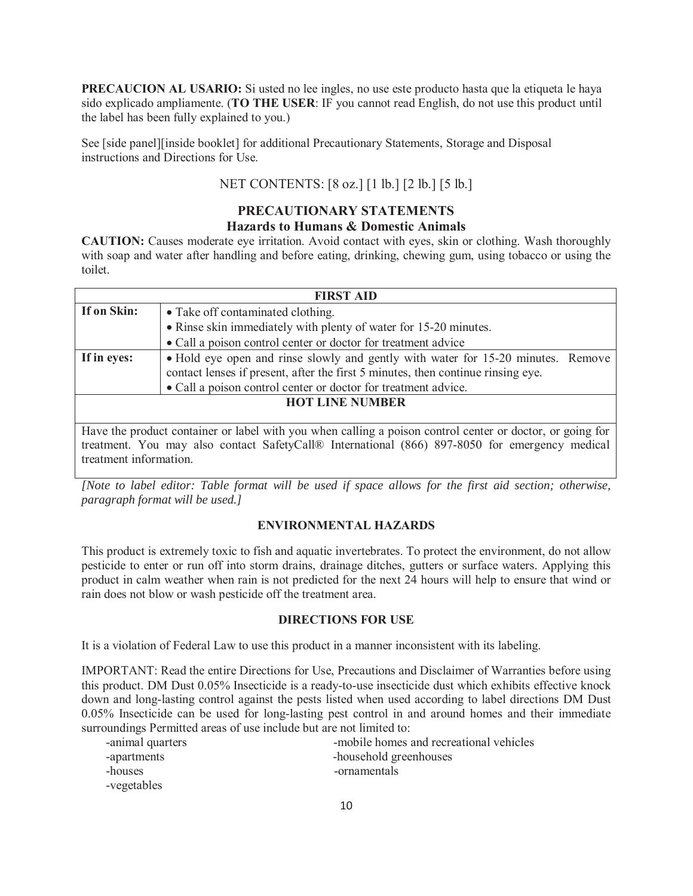**PRECAUCION AL USARIO:** Si usted no lee ingles, no use este producto hasta que la etiqueta le haya sido explicado ampliamente. (**TO THE USER**: IF you cannot read English, do not use this product until the label has been fully explained to you.)

See [side panel][inside booklet] for additional Precautionary Statements, Storage and Disposal instructions and Directions for Use.

## NET CONTENTS: [8 oz.] [1 lb.] [2 lb.] [5 lb.]

# **PRECAUTIONARY STATEMENTS**

## **Hazards to Humans & Domestic Animals**

**CAUTION:** Causes moderate eye irritation. Avoid contact with eyes, skin or clothing. Wash thoroughly with soap and water after handling and before eating, drinking, chewing gum, using tobacco or using the toilet.

| <b>FIRST AID</b>                                               |                                                                                                           |  |  |  |
|----------------------------------------------------------------|-----------------------------------------------------------------------------------------------------------|--|--|--|
| If on Skin:                                                    | • Take off contaminated clothing.                                                                         |  |  |  |
|                                                                | • Rinse skin immediately with plenty of water for 15-20 minutes.                                          |  |  |  |
|                                                                | • Call a poison control center or doctor for treatment advice                                             |  |  |  |
| If in eyes:                                                    | • Hold eye open and rinse slowly and gently with water for 15-20 minutes. Remove                          |  |  |  |
|                                                                | contact lenses if present, after the first 5 minutes, then continue rinsing eye.                          |  |  |  |
| • Call a poison control center or doctor for treatment advice. |                                                                                                           |  |  |  |
| <b>HOT LINE NUMBER</b>                                         |                                                                                                           |  |  |  |
|                                                                |                                                                                                           |  |  |  |
|                                                                | Have the product container or label with you when calling a poison control center or doctor, or going for |  |  |  |
|                                                                | treatment. You may also contact SafetyCall® International (866) 897-8050 for emergency medical            |  |  |  |

treatment information.

*[Note to label editor: Table format will be used if space allows for the first aid section; otherwise, paragraph format will be used.]*

#### **ENVIRONMENTAL HAZARDS**

This product is extremely toxic to fish and aquatic invertebrates. To protect the environment, do not allow pesticide to enter or run off into storm drains, drainage ditches, gutters or surface waters. Applying this product in calm weather when rain is not predicted for the next 24 hours will help to ensure that wind or rain does not blow or wash pesticide off the treatment area.

#### **DIRECTIONS FOR USE**

It is a violation of Federal Law to use this product in a manner inconsistent with its labeling.

IMPORTANT: Read the entire Directions for Use, Precautions and Disclaimer of Warranties before using this product. DM Dust 0.05% Insecticide is a ready-to-use insecticide dust which exhibits effective knock down and long-lasting control against the pests listed when used according to label directions DM Dust 0.05% Insecticide can be used for long-lasting pest control in and around homes and their immediate surroundings Permitted areas of use include but are not limited to:

| -animal quarters | -mobile homes and recreational vehicles |
|------------------|-----------------------------------------|
| -apartments      | -household greenhouses                  |
| -houses          | -ornamentals                            |
| -vegetables      |                                         |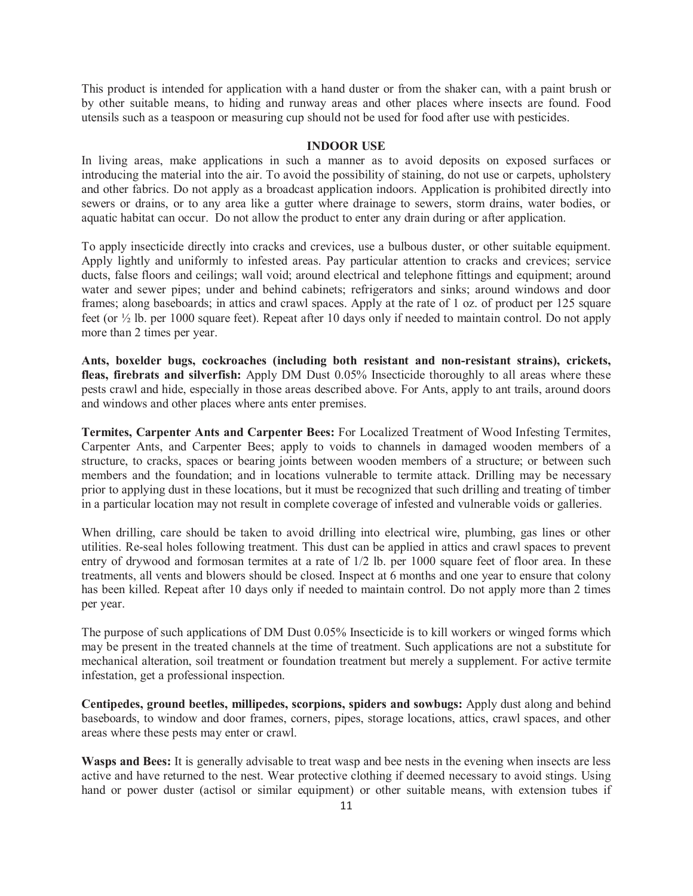This product is intended for application with a hand duster or from the shaker can, with a paint brush or by other suitable means, to hiding and runway areas and other places where insects are found. Food utensils such as a teaspoon or measuring cup should not be used for food after use with pesticides.

#### **INDOOR USE**

In living areas, make applications in such a manner as to avoid deposits on exposed surfaces or introducing the material into the air. To avoid the possibility of staining, do not use or carpets, upholstery and other fabrics. Do not apply as a broadcast application indoors. Application is prohibited directly into sewers or drains, or to any area like a gutter where drainage to sewers, storm drains, water bodies, or aquatic habitat can occur. Do not allow the product to enter any drain during or after application.

To apply insecticide directly into cracks and crevices, use a bulbous duster, or other suitable equipment. Apply lightly and uniformly to infested areas. Pay particular attention to cracks and crevices; service ducts, false floors and ceilings; wall void; around electrical and telephone fittings and equipment; around water and sewer pipes; under and behind cabinets; refrigerators and sinks; around windows and door frames; along baseboards; in attics and crawl spaces. Apply at the rate of 1 oz. of product per 125 square feet (or ½ lb. per 1000 square feet). Repeat after 10 days only if needed to maintain control. Do not apply more than 2 times per year.

**Ants, boxelder bugs, cockroaches (including both resistant and non-resistant strains), crickets, fleas, firebrats and silverfish:** Apply DM Dust 0.05% Insecticide thoroughly to all areas where these pests crawl and hide, especially in those areas described above. For Ants, apply to ant trails, around doors and windows and other places where ants enter premises.

**Termites, Carpenter Ants and Carpenter Bees:** For Localized Treatment of Wood Infesting Termites, Carpenter Ants, and Carpenter Bees; apply to voids to channels in damaged wooden members of a structure, to cracks, spaces or bearing joints between wooden members of a structure; or between such members and the foundation; and in locations vulnerable to termite attack. Drilling may be necessary prior to applying dust in these locations, but it must be recognized that such drilling and treating of timber in a particular location may not result in complete coverage of infested and vulnerable voids or galleries.

When drilling, care should be taken to avoid drilling into electrical wire, plumbing, gas lines or other utilities. Re-seal holes following treatment. This dust can be applied in attics and crawl spaces to prevent entry of drywood and formosan termites at a rate of 1/2 lb. per 1000 square feet of floor area. In these treatments, all vents and blowers should be closed. Inspect at 6 months and one year to ensure that colony has been killed. Repeat after 10 days only if needed to maintain control. Do not apply more than 2 times per year.

The purpose of such applications of DM Dust 0.05% Insecticide is to kill workers or winged forms which may be present in the treated channels at the time of treatment. Such applications are not a substitute for mechanical alteration, soil treatment or foundation treatment but merely a supplement. For active termite infestation, get a professional inspection.

**Centipedes, ground beetles, millipedes, scorpions, spiders and sowbugs:** Apply dust along and behind baseboards, to window and door frames, corners, pipes, storage locations, attics, crawl spaces, and other areas where these pests may enter or crawl.

**Wasps and Bees:** It is generally advisable to treat wasp and bee nests in the evening when insects are less active and have returned to the nest. Wear protective clothing if deemed necessary to avoid stings. Using hand or power duster (actisol or similar equipment) or other suitable means, with extension tubes if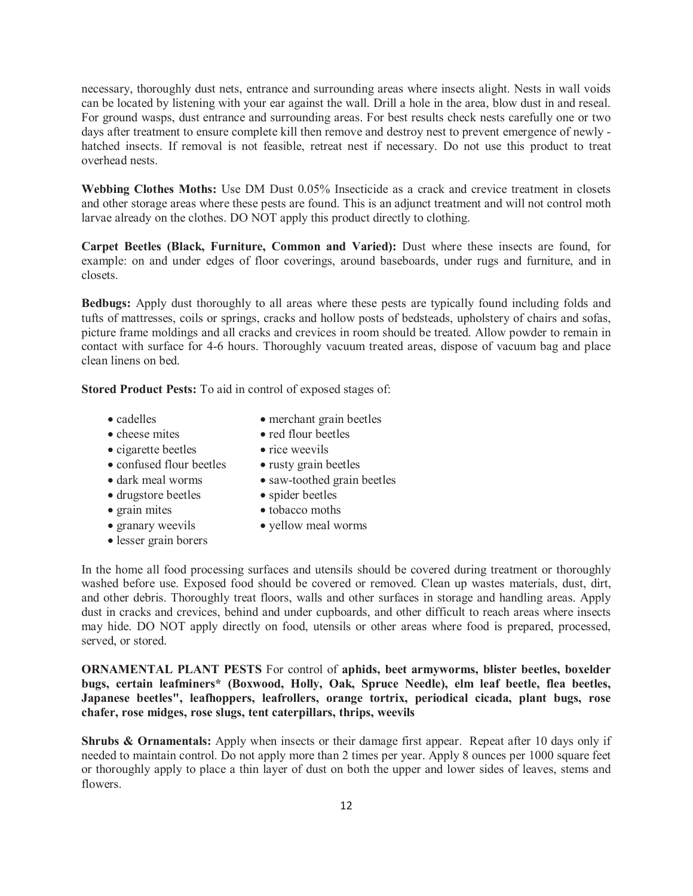necessary, thoroughly dust nets, entrance and surrounding areas where insects alight. Nests in wall voids can be located by listening with your ear against the wall. Drill a hole in the area, blow dust in and reseal. For ground wasps, dust entrance and surrounding areas. For best results check nests carefully one or two days after treatment to ensure complete kill then remove and destroy nest to prevent emergence of newly hatched insects. If removal is not feasible, retreat nest if necessary. Do not use this product to treat overhead nests.

**Webbing Clothes Moths:** Use DM Dust 0.05% Insecticide as a crack and crevice treatment in closets and other storage areas where these pests are found. This is an adjunct treatment and will not control moth larvae already on the clothes. DO NOT apply this product directly to clothing.

**Carpet Beetles (Black, Furniture, Common and Varied):** Dust where these insects are found, for example: on and under edges of floor coverings, around baseboards, under rugs and furniture, and in closets.

**Bedbugs:** Apply dust thoroughly to all areas where these pests are typically found including folds and tufts of mattresses, coils or springs, cracks and hollow posts of bedsteads, upholstery of chairs and sofas, picture frame moldings and all cracks and crevices in room should be treated. Allow powder to remain in contact with surface for 4-6 hours. Thoroughly vacuum treated areas, dispose of vacuum bag and place clean linens on bed.

**Stored Product Pests:** To aid in control of exposed stages of:

- 
- cadelles merchant grain beetles
- cheese mites red flour beetles
- cigarette beetles rice weevils
- confused flour beetles rusty grain beetles
- dark meal worms saw-toothed grain beetles
- drugstore beetles spider beetles
- 
- 
- lesser grain borers
- 
- 
- grain mites tobacco moths
- granary weevils vellow meal worms

In the home all food processing surfaces and utensils should be covered during treatment or thoroughly washed before use. Exposed food should be covered or removed. Clean up wastes materials, dust, dirt, and other debris. Thoroughly treat floors, walls and other surfaces in storage and handling areas. Apply dust in cracks and crevices, behind and under cupboards, and other difficult to reach areas where insects may hide. DO NOT apply directly on food, utensils or other areas where food is prepared, processed, served, or stored.

**ORNAMENTAL PLANT PESTS** For control of **aphids, beet armyworms, blister beetles, boxelder bugs, certain leafminers\* (Boxwood, Holly, Oak, Spruce Needle), elm leaf beetle, flea beetles, Japanese beetles", leafhoppers, leafrollers, orange tortrix, periodical cicada, plant bugs, rose chafer, rose midges, rose slugs, tent caterpillars, thrips, weevils**

**Shrubs & Ornamentals:** Apply when insects or their damage first appear. Repeat after 10 days only if needed to maintain control. Do not apply more than 2 times per year. Apply 8 ounces per 1000 square feet or thoroughly apply to place a thin layer of dust on both the upper and lower sides of leaves, stems and flowers.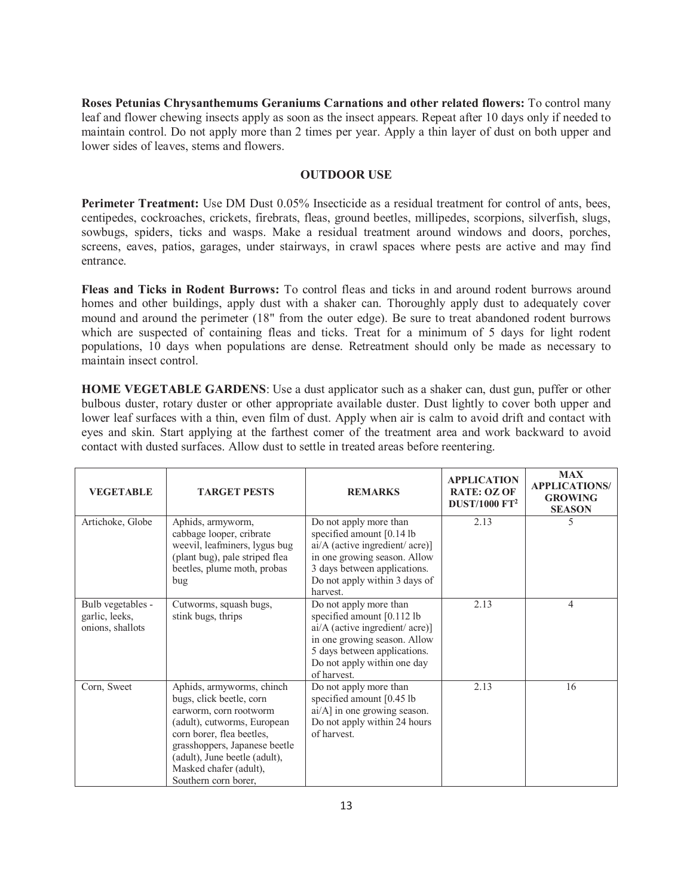**Roses Petunias Chrysanthemums Geraniums Carnations and other related flowers:** To control many leaf and flower chewing insects apply as soon as the insect appears. Repeat after 10 days only if needed to maintain control. Do not apply more than 2 times per year. Apply a thin layer of dust on both upper and lower sides of leaves, stems and flowers.

#### **OUTDOOR USE**

**Perimeter Treatment:** Use DM Dust 0.05% Insecticide as a residual treatment for control of ants, bees, centipedes, cockroaches, crickets, firebrats, fleas, ground beetles, millipedes, scorpions, silverfish, slugs, sowbugs, spiders, ticks and wasps. Make a residual treatment around windows and doors, porches, screens, eaves, patios, garages, under stairways, in crawl spaces where pests are active and may find entrance.

**Fleas and Ticks in Rodent Burrows:** To control fleas and ticks in and around rodent burrows around homes and other buildings, apply dust with a shaker can. Thoroughly apply dust to adequately cover mound and around the perimeter (18" from the outer edge). Be sure to treat abandoned rodent burrows which are suspected of containing fleas and ticks. Treat for a minimum of 5 days for light rodent populations, 10 days when populations are dense. Retreatment should only be made as necessary to maintain insect control.

**HOME VEGETABLE GARDENS**: Use a dust applicator such as a shaker can, dust gun, puffer or other bulbous duster, rotary duster or other appropriate available duster. Dust lightly to cover both upper and lower leaf surfaces with a thin, even film of dust. Apply when air is calm to avoid drift and contact with eyes and skin. Start applying at the farthest comer of the treatment area and work backward to avoid contact with dusted surfaces. Allow dust to settle in treated areas before reentering.

| <b>VEGETABLE</b>                                        | <b>TARGET PESTS</b>                                                                                                                                                                                                                                             | <b>REMARKS</b>                                                                                                                                                                                           | <b>APPLICATION</b><br><b>RATE: OZ OF</b><br><b>DUST/1000 FT<sup>2</sup></b> | <b>MAX</b><br><b>APPLICATIONS/</b><br><b>GROWING</b><br><b>SEASON</b> |
|---------------------------------------------------------|-----------------------------------------------------------------------------------------------------------------------------------------------------------------------------------------------------------------------------------------------------------------|----------------------------------------------------------------------------------------------------------------------------------------------------------------------------------------------------------|-----------------------------------------------------------------------------|-----------------------------------------------------------------------|
| Artichoke, Globe                                        | Aphids, armyworm,<br>cabbage looper, cribrate<br>weevil, leafminers, lygus bug<br>(plant bug), pale striped flea<br>beetles, plume moth, probas<br>bug                                                                                                          | Do not apply more than<br>specified amount $[0.14$ lb<br>$ai/A$ (active ingredient/acre)]<br>in one growing season. Allow<br>3 days between applications.<br>Do not apply within 3 days of<br>harvest.   | 2.13                                                                        | 5                                                                     |
| Bulb vegetables -<br>garlic, leeks,<br>onions, shallots | Cutworms, squash bugs,<br>stink bugs, thrips                                                                                                                                                                                                                    | Do not apply more than<br>specified amount $[0.112$ lb<br>$ai/A$ (active ingredient/acre)]<br>in one growing season. Allow<br>5 days between applications.<br>Do not apply within one day<br>of harvest. | 2.13                                                                        | 4                                                                     |
| Corn, Sweet                                             | Aphids, armyworms, chinch<br>bugs, click beetle, corn<br>earworm, corn rootworm<br>(adult), cutworms, European<br>corn borer, flea beetles,<br>grasshoppers, Japanese beetle<br>(adult), June beetle (adult),<br>Masked chafer (adult),<br>Southern corn borer, | Do not apply more than<br>specified amount [0.45 lb<br>$ai/A$ ] in one growing season.<br>Do not apply within 24 hours<br>of harvest.                                                                    | 2.13                                                                        | 16                                                                    |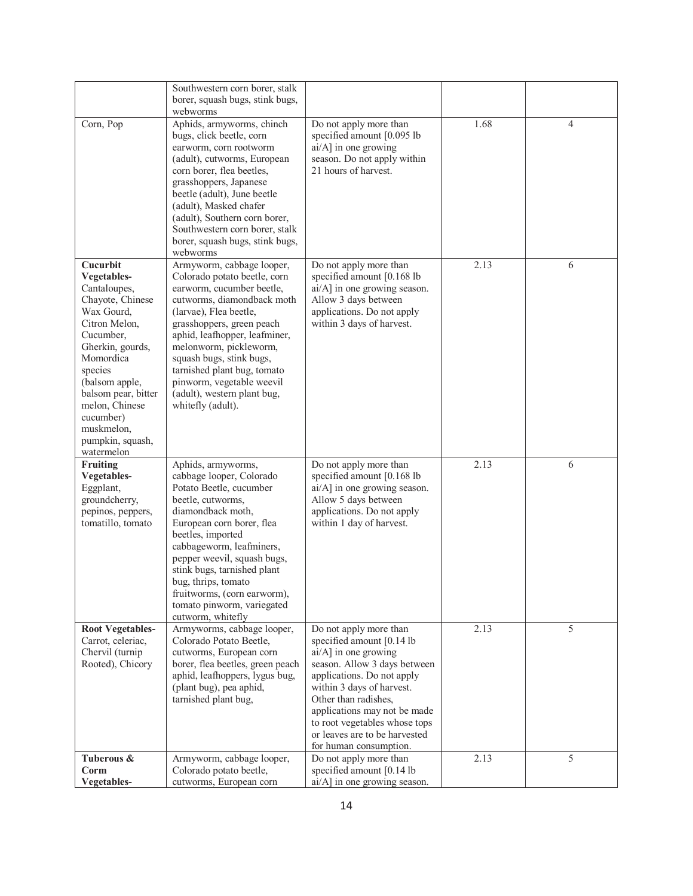|                                                                                                                                                                                                                                                                             | Southwestern corn borer, stalk<br>borer, squash bugs, stink bugs,<br>webworms                                                                                                                                                                                                                                                                                                      |                                                                                                                                                                                                                                                                                                                            |      |   |
|-----------------------------------------------------------------------------------------------------------------------------------------------------------------------------------------------------------------------------------------------------------------------------|------------------------------------------------------------------------------------------------------------------------------------------------------------------------------------------------------------------------------------------------------------------------------------------------------------------------------------------------------------------------------------|----------------------------------------------------------------------------------------------------------------------------------------------------------------------------------------------------------------------------------------------------------------------------------------------------------------------------|------|---|
| Corn, Pop                                                                                                                                                                                                                                                                   | Aphids, armyworms, chinch<br>bugs, click beetle, corn<br>earworm, corn rootworm<br>(adult), cutworms, European<br>corn borer, flea beetles,<br>grasshoppers, Japanese<br>beetle (adult), June beetle<br>(adult), Masked chafer<br>(adult), Southern corn borer,<br>Southwestern corn borer, stalk<br>borer, squash bugs, stink bugs,<br>webworms                                   | Do not apply more than<br>specified amount [0.095 lb<br>ai/A] in one growing<br>season. Do not apply within<br>21 hours of harvest.                                                                                                                                                                                        | 1.68 | 4 |
| Cucurbit<br>Vegetables-<br>Cantaloupes,<br>Chayote, Chinese<br>Wax Gourd,<br>Citron Melon.<br>Cucumber,<br>Gherkin, gourds,<br>Momordica<br>species<br>(balsom apple,<br>balsom pear, bitter<br>melon, Chinese<br>cucumber)<br>muskmelon,<br>pumpkin, squash,<br>watermelon | Armyworm, cabbage looper,<br>Colorado potato beetle, corn<br>earworm, cucumber beetle,<br>cutworms, diamondback moth<br>(larvae), Flea beetle,<br>grasshoppers, green peach<br>aphid, leafhopper, leafminer,<br>melonworm, pickleworm,<br>squash bugs, stink bugs,<br>tarnished plant bug, tomato<br>pinworm, vegetable weevil<br>(adult), western plant bug,<br>whitefly (adult). | Do not apply more than<br>specified amount [0.168 lb<br>ai/A] in one growing season.<br>Allow 3 days between<br>applications. Do not apply<br>within 3 days of harvest.                                                                                                                                                    | 2.13 | 6 |
| <b>Fruiting</b><br>Vegetables-<br>Eggplant,<br>groundcherry,<br>pepinos, peppers,<br>tomatillo, tomato                                                                                                                                                                      | Aphids, armyworms,<br>cabbage looper, Colorado<br>Potato Beetle, cucumber<br>beetle, cutworms,<br>diamondback moth,<br>European corn borer, flea<br>beetles, imported<br>cabbageworm, leafminers,<br>pepper weevil, squash bugs,<br>stink bugs, tarnished plant<br>bug, thrips, tomato<br>fruitworms, (corn earworm),<br>tomato pinworm, variegated<br>cutworm, whitefly           | Do not apply more than<br>specified amount [0.168 lb<br>ai/A] in one growing season.<br>Allow 5 days between<br>applications. Do not apply<br>within 1 day of harvest.                                                                                                                                                     | 2.13 | 6 |
| <b>Root Vegetables-</b><br>Carrot, celeriac,<br>Chervil (turnip<br>Rooted), Chicory                                                                                                                                                                                         | Armyworms, cabbage looper,<br>Colorado Potato Beetle,<br>cutworms, European corn<br>borer, flea beetles, green peach<br>aphid, leafhoppers, lygus bug,<br>(plant bug), pea aphid,<br>tarnished plant bug,                                                                                                                                                                          | Do not apply more than<br>specified amount [0.14 lb<br>ai/A] in one growing<br>season. Allow 3 days between<br>applications. Do not apply<br>within 3 days of harvest.<br>Other than radishes,<br>applications may not be made<br>to root vegetables whose tops<br>or leaves are to be harvested<br>for human consumption. | 2.13 | 5 |
| Tuberous &<br>Corm<br>Vegetables-                                                                                                                                                                                                                                           | Armyworm, cabbage looper,<br>Colorado potato beetle,<br>cutworms, European corn                                                                                                                                                                                                                                                                                                    | Do not apply more than<br>specified amount [0.14 lb<br>ai/A] in one growing season.                                                                                                                                                                                                                                        | 2.13 | 5 |